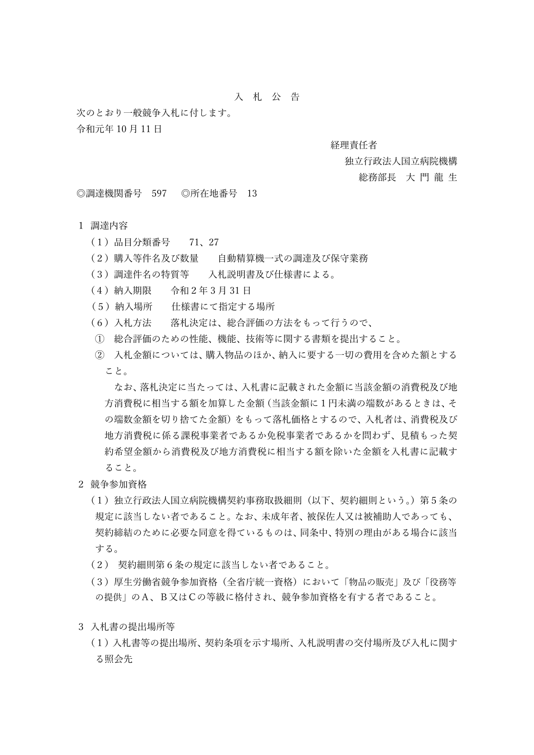# ⼊ 札 公 告

次のとおり一般競争入札に付します。 令和元年 10 ⽉ 11 ⽇

#### 経理責任者

### 独立行政法人国立病院機構

#### 総務部長 大門龍生

◎調達機関番号 597 ◎所在地番号 13

## 1 調達内容

- (1)品⽬分類番号 71、27
- (2)購⼊等件名及び数量 ⾃動精算機⼀式の調達及び保守業務
- (3)調達件名の特質等 入札説明書及び仕様書による。
- (4)納⼊期限 令和2年 3 ⽉ 31 ⽇
- (5)納⼊場所 仕様書にて指定する場所
- (6) 入札方法 落札決定は、総合評価の方法をもって行うので、
- ① 総合評価のための性能、機能、技術等に関する書類を提出すること。
- ② 入札金額については、購入物品のほか、納入に要する一切の費用を含めた額とする こと。

なお、落札決定に当たっては、入札書に記載された金額に当該金額の消費税及び地 方消費税に相当する額を加算した金額(当該金額に1円未満の端数があるときは、そ の端数金額を切り捨てた金額)をもって落札価格とするので、入札者は、消費税及び 地方消費税に係る課税事業者であるか免税事業者であるかを問わず、見積もった契 約希望金額から消費税及び地方消費税に相当する額を除いた金額を入札書に記載す ること。

- 2 競争参加資格
	- (1)独立行政法人国立病院機構契約事務取扱細則(以下、契約細則という。)第5条の 規定に該当しない者であること。なお、未成年者、被保佐人又は被補助人であっても、 契約締結のために必要な同意を得ているものは、同条中、特別の理由がある場合に該当 する。
	- (2) 契約細則第6条の規定に該当しない者であること。
	- (3)厚⽣労働省競争参加資格(全省庁統⼀資格)において「物品の販売」及び「役務等 の提供」のA、B⼜はCの等級に格付され、競争参加資格を有する者であること。
- 3 入札書の提出場所等
	- (1) 入札書等の提出場所、契約条項を示す場所、入札説明書の交付場所及び入札に関す る照会先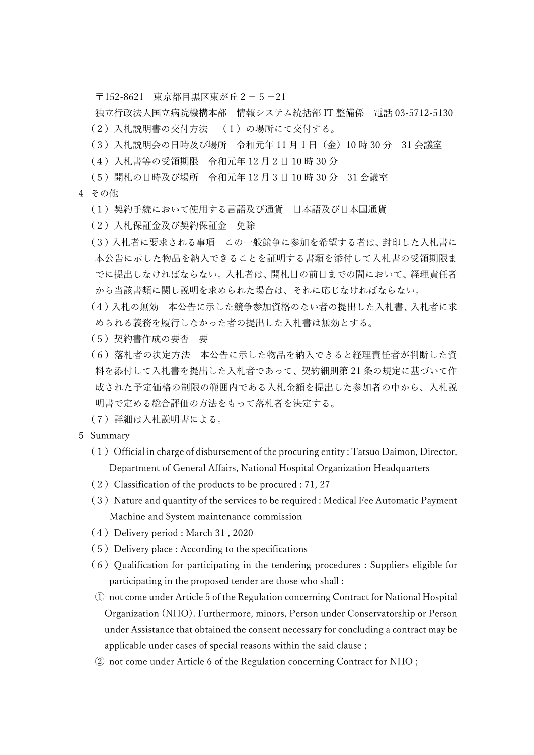〒152-8621 東京都目黒区東が丘2-5-21

独立行政法人国立病院機構本部 情報システム統括部 IT 整備係 電話 03-5712-5130 (2)⼊札説明書の交付⽅法 (1)の場所にて交付する。

- (3) 入札説明会の日時及び場所 令和元年 11 月 1 日 (金) 10 時 30 分 31 会議室
- (4) 入札書等の受領期限 令和元年 12 月 2 日 10 時 30 分
- (5) 開札の日時及び場所 令和元年 12 月 3 日 10 時 30 分 31 会議室
- 4 その他
	- (1) 契約手続において使用する言語及び通貨 日本語及び日本国通貨
	- (2)⼊札保証⾦及び契約保証⾦ 免除
	- (3)入札者に要求される事項 この一般競争に参加を希望する者は、封印した入札書に 本公告に示した物品を納入できることを証明する書類を添付して入札書の受領期限ま でに提出しなければならない。入札者は、開札日の前日までの間において、経理責任者 から当該書類に関し説明を求められた場合は、それに応じなければならない。
	- (4) 入札の無効 本公告に示した競争参加資格のない者の提出した入札書、入札者に求 められる義務を履行しなかった者の提出した入札書は無効とする。
	- (5)契約書作成の要否 要
	- (6) 落札者の決定方法 本公告に示した物品を納入できると経理責任者が判断した資 料を添付して入札書を提出した入札者であって、契約細則第 21 条の規定に基づいて作 成された予定価格の制限の範囲内である入札金額を提出した参加者の中から、入札説 明書で定める総合評価の⽅法をもって落札者を決定する。
	- (7)詳細は⼊札説明書による。
- 5 Summary
	- $(1)$  Official in charge of disbursement of the procuring entity : Tatsuo Daimon, Director, Department of General Affairs, National Hospital Organization Headquarters
	- $(2)$  Classification of the products to be procured : 71, 27
	- (3) Nature and quantity of the services to be required : Medical Fee Automatic Payment Machine and System maintenance commission
	- (4) Delivery period : March 31, 2020
	- $(5)$  Delivery place : According to the specifications
	- $(6)$  Qualification for participating in the tendering procedures : Suppliers eligible for participating in the proposed tender are those who shall :
	- ① not come under Article 5 of the Regulation concerning Contract for National Hospital Organization (NHO). Furthermore, minors, Person under Conservatorship or Person under Assistance that obtained the consent necessary for concluding a contract may be applicable under cases of special reasons within the said clause ;
	- ② not come under Article 6 of the Regulation concerning Contract for NHO ;